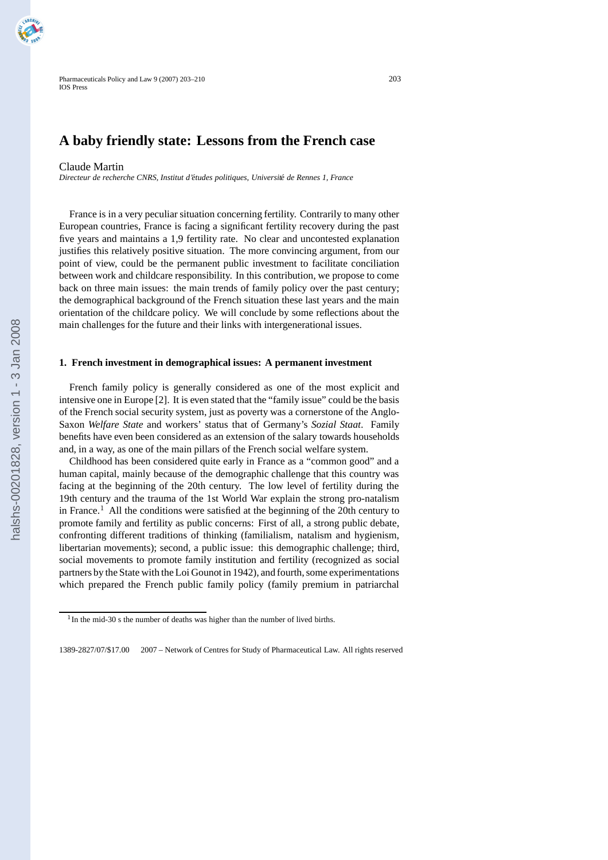# **A baby friendly state: Lessons from the French case**

#### Claude Martin

*Directeur de recherche CNRS, Institut d'etudes politiques, Universit ´ e de Rennes 1, France ´*

France is in a very peculiar situation concerning fertility. Contrarily to many other European countries, France is facing a significant fertility recovery during the past five years and maintains a 1,9 fertility rate. No clear and uncontested explanation justifies this relatively positive situation. The more convincing argument, from our point of view, could be the permanent public investment to facilitate conciliation between work and childcare responsibility. In this contribution, we propose to come back on three main issues: the main trends of family policy over the past century; the demographical background of the French situation these last years and the main orientation of the childcare policy. We will conclude by some reflections about the main challenges for the future and their links with intergenerational issues.

#### **1. French investment in demographical issues: A permanent investment**

French family policy is generally considered as one of the most explicit and intensive one in Europe [2]. It is even stated that the "family issue" could be the basis of the French social security system, just as poverty was a cornerstone of the Anglo-Saxon *Welfare State* and workers' status that of Germany's *Sozial Staat*. Family benefits have even been considered as an extension of the salary towards households and, in a way, as one of the main pillars of the French social welfare system.

Childhood has been considered quite early in France as a "common good" and a human capital, mainly because of the demographic challenge that this country was facing at the beginning of the 20th century. The low level of fertility during the 19th century and the trauma of the 1st World War explain the strong pro-natalism in France.<sup>1</sup> All the conditions were satisfied at the beginning of the 20th century to promote family and fertility as public concerns: First of all, a strong public debate, confronting different traditions of thinking (familialism, natalism and hygienism, libertarian movements); second, a public issue: this demographic challenge; third, social movements to promote family institution and fertility (recognized as social partners by the State with the Loi Gounot in 1942), and fourth, some experimentations which prepared the French public family policy (family premium in patriarchal

<sup>&</sup>lt;sup>1</sup>In the mid-30 s the number of deaths was higher than the number of lived births.

<sup>1389-2827/07/\$17.00</sup> 2007 – Network of Centres for Study of Pharmaceutical Law. All rights reserved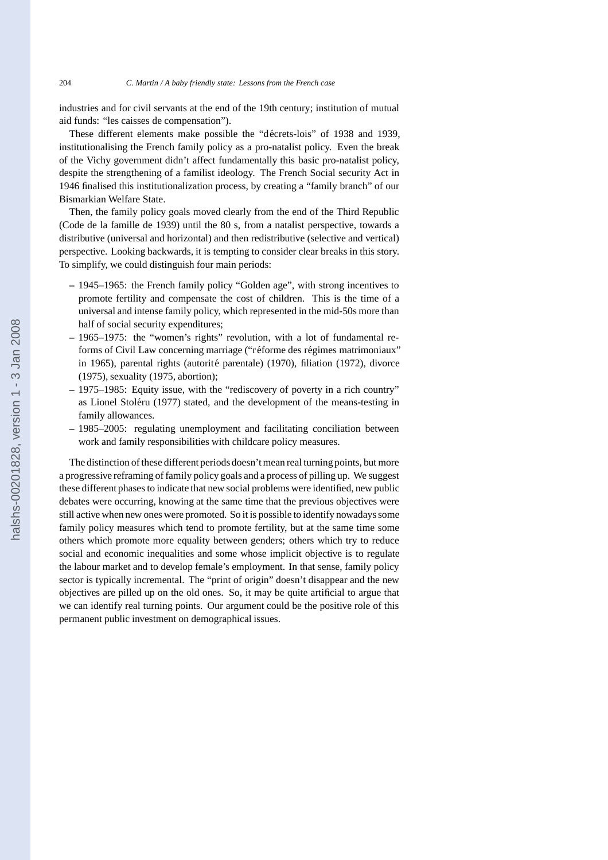industries and for civil servants at the end of the 19th century; institution of mutual aid funds: "les caisses de compensation").

These different elements make possible the "décrets-lois" of 1938 and 1939. institutionalising the French family policy as a pro-natalist policy. Even the break of the Vichy government didn't affect fundamentally this basic pro-natalist policy, despite the strengthening of a familist ideology. The French Social security Act in 1946 finalised this institutionalization process, by creating a "family branch" of our Bismarkian Welfare State.

Then, the family policy goals moved clearly from the end of the Third Republic (Code de la famille de 1939) until the 80 s, from a natalist perspective, towards a distributive (universal and horizontal) and then redistributive (selective and vertical) perspective. Looking backwards, it is tempting to consider clear breaks in this story. To simplify, we could distinguish four main periods:

- **–** 1945–1965: the French family policy "Golden age", with strong incentives to promote fertility and compensate the cost of children. This is the time of a universal and intense family policy, which represented in the mid-50s more than half of social security expenditures;
- **–** 1965–1975: the "women's rights" revolution, with a lot of fundamental reforms of Civil Law concerning marriage ("réforme des régimes matrimoniaux" in 1965), parental rights (autorité parentale) (1970), filiation (1972), divorce (1975), sexuality (1975, abortion);
- **–** 1975–1985: Equity issue, with the "rediscovery of poverty in a rich country" as Lionel Stoleru (1977) stated, and the development of the means-testing in ´ family allowances.
- **–** 1985–2005: regulating unemployment and facilitating conciliation between work and family responsibilities with childcare policy measures.

The distinction of these different periods doesn't mean real turning points, but more a progressive reframing of family policy goals and a process of pilling up. We suggest these different phases to indicate that new social problems were identified, new public debates were occurring, knowing at the same time that the previous objectives were still active when new ones were promoted. So it is possible to identify nowadays some family policy measures which tend to promote fertility, but at the same time some others which promote more equality between genders; others which try to reduce social and economic inequalities and some whose implicit objective is to regulate the labour market and to develop female's employment. In that sense, family policy sector is typically incremental. The "print of origin" doesn't disappear and the new objectives are pilled up on the old ones. So, it may be quite artificial to argue that we can identify real turning points. Our argument could be the positive role of this permanent public investment on demographical issues.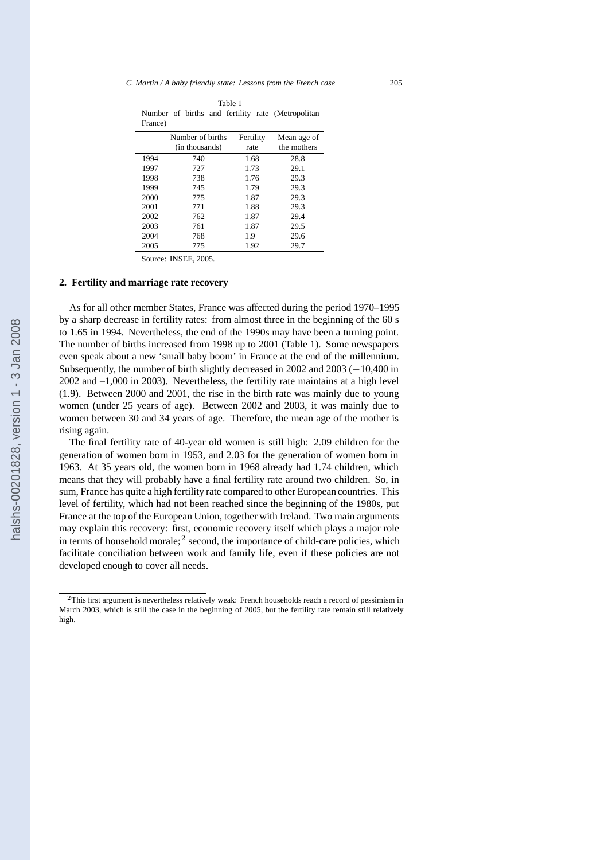| Table 1 |  |  |  |  |  |                                                   |  |  |
|---------|--|--|--|--|--|---------------------------------------------------|--|--|
|         |  |  |  |  |  | Number of births and fertility rate (Metropolitan |  |  |
| France) |  |  |  |  |  |                                                   |  |  |

|      | Number of births | Fertility | Mean age of |
|------|------------------|-----------|-------------|
|      | (in thousands)   | rate      | the mothers |
| 1994 | 740              | 1.68      | 28.8        |
| 1997 | 727              | 1.73      | 29.1        |
| 1998 | 738              | 1.76      | 29.3        |
| 1999 | 745              | 1.79      | 29.3        |
| 2000 | 775              | 1.87      | 29.3        |
| 2001 | 771              | 1.88      | 29.3        |
| 2002 | 762              | 1.87      | 29.4        |
| 2003 | 761              | 1.87      | 29.5        |
| 2004 | 768              | 1.9       | 29.6        |
| 2005 | 775              | 1.92      | 29.7        |

Source: INSEE, 2005.

#### **2. Fertility and marriage rate recovery**

As for all other member States, France was affected during the period 1970–1995 by a sharp decrease in fertility rates: from almost three in the beginning of the 60 s to 1.65 in 1994. Nevertheless, the end of the 1990s may have been a turning point. The number of births increased from 1998 up to 2001 (Table 1). Some newspapers even speak about a new 'small baby boom' in France at the end of the millennium. Subsequently, the number of birth slightly decreased in 2002 and 2003 (*−*10,400 in 2002 and –1,000 in 2003). Nevertheless, the fertility rate maintains at a high level (1.9). Between 2000 and 2001, the rise in the birth rate was mainly due to young women (under 25 years of age). Between 2002 and 2003, it was mainly due to women between 30 and 34 years of age. Therefore, the mean age of the mother is rising again.

The final fertility rate of 40-year old women is still high: 2.09 children for the generation of women born in 1953, and 2.03 for the generation of women born in 1963. At 35 years old, the women born in 1968 already had 1.74 children, which means that they will probably have a final fertility rate around two children. So, in sum, France has quite a high fertility rate compared to other European countries. This level of fertility, which had not been reached since the beginning of the 1980s, put France at the top of the European Union, together with Ireland. Two main arguments may explain this recovery: first, economic recovery itself which plays a major role in terms of household morale;<sup>2</sup> second, the importance of child-care policies, which facilitate conciliation between work and family life, even if these policies are not developed enough to cover all needs.

<sup>2</sup>This first argument is nevertheless relatively weak: French households reach a record of pessimism in March 2003, which is still the case in the beginning of 2005, but the fertility rate remain still relatively high.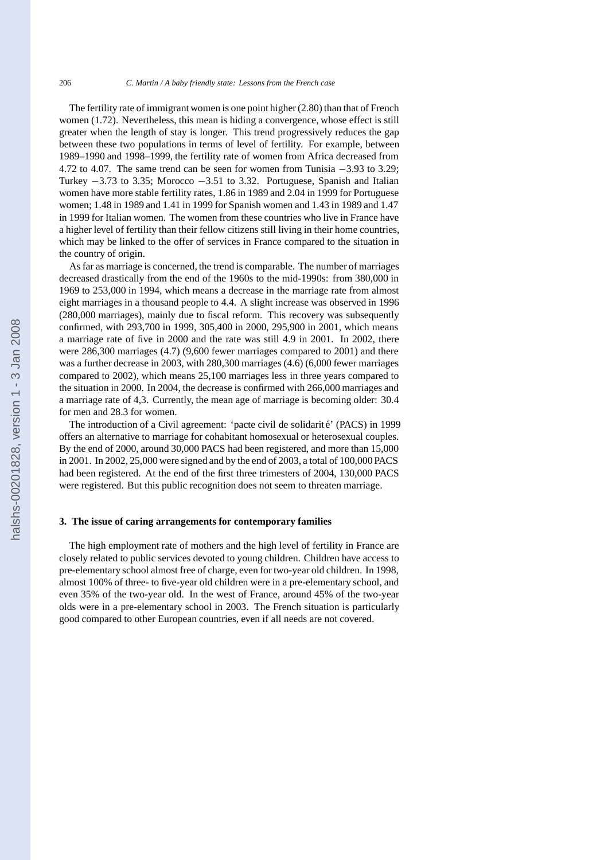The fertility rate of immigrant women is one point higher (2.80) than that of French women (1.72). Nevertheless, this mean is hiding a convergence, whose effect is still greater when the length of stay is longer. This trend progressively reduces the gap between these two populations in terms of level of fertility. For example, between 1989–1990 and 1998–1999, the fertility rate of women from Africa decreased from 4.72 to 4.07. The same trend can be seen for women from Tunisia *−*3.93 to 3.29; Turkey *−*3.73 to 3.35; Morocco *−*3.51 to 3.32. Portuguese, Spanish and Italian women have more stable fertility rates, 1.86 in 1989 and 2.04 in 1999 for Portuguese women; 1.48 in 1989 and 1.41 in 1999 for Spanish women and 1.43 in 1989 and 1.47 in 1999 for Italian women. The women from these countries who live in France have a higher level of fertility than their fellow citizens still living in their home countries, which may be linked to the offer of services in France compared to the situation in the country of origin.

As far as marriage is concerned, the trend is comparable. The number of marriages decreased drastically from the end of the 1960s to the mid-1990s: from 380,000 in 1969 to 253,000 in 1994, which means a decrease in the marriage rate from almost eight marriages in a thousand people to 4.4. A slight increase was observed in 1996 (280,000 marriages), mainly due to fiscal reform. This recovery was subsequently confirmed, with 293,700 in 1999, 305,400 in 2000, 295,900 in 2001, which means a marriage rate of five in 2000 and the rate was still 4.9 in 2001. In 2002, there were 286,300 marriages (4.7) (9,600 fewer marriages compared to 2001) and there was a further decrease in 2003, with 280,300 marriages (4.6) (6,000 fewer marriages compared to 2002), which means 25,100 marriages less in three years compared to the situation in 2000. In 2004, the decrease is confirmed with 266,000 marriages and a marriage rate of 4,3. Currently, the mean age of marriage is becoming older: 30.4 for men and 28.3 for women.

The introduction of a Civil agreement: 'pacte civil de solidarité' (PACS) in 1999 offers an alternative to marriage for cohabitant homosexual or heterosexual couples. By the end of 2000, around 30,000 PACS had been registered, and more than 15,000 in 2001. In 2002, 25,000 were signed and by the end of 2003, a total of 100,000 PACS had been registered. At the end of the first three trimesters of 2004, 130,000 PACS were registered. But this public recognition does not seem to threaten marriage.

## **3. The issue of caring arrangements for contemporary families**

The high employment rate of mothers and the high level of fertility in France are closely related to public services devoted to young children. Children have access to pre-elementary school almost free of charge, even for two-year old children. In 1998, almost 100% of three- to five-year old children were in a pre-elementary school, and even 35% of the two-year old. In the west of France, around 45% of the two-year olds were in a pre-elementary school in 2003. The French situation is particularly good compared to other European countries, even if all needs are not covered.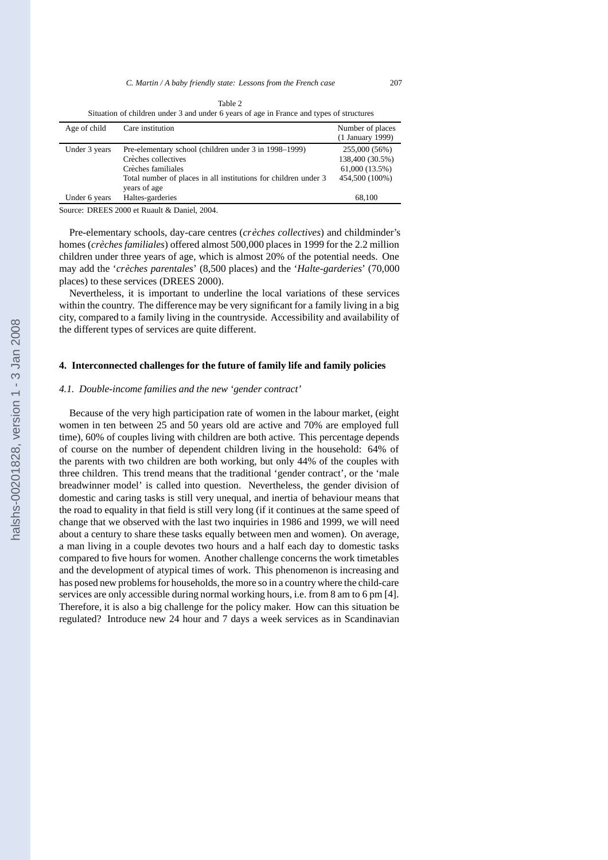|              |                  | Table 2                                                                                  |
|--------------|------------------|------------------------------------------------------------------------------------------|
|              |                  | Situation of children under 3 and under 6 years of age in France and types of structures |
| Age of child | Care institution | Number of places                                                                         |

| $1150$ of called | Care montanon                                                   | THUILOUT OF PROPER |
|------------------|-----------------------------------------------------------------|--------------------|
|                  |                                                                 | (1 January 1999)   |
| Under 3 years    | Pre-elementary school (children under 3 in 1998–1999)           | 255,000 (56%)      |
|                  | Crèches collectives                                             | 138,400 (30.5%)    |
|                  | Crèches familiales                                              | 61,000 (13.5%)     |
|                  | Total number of places in all institutions for children under 3 | 454,500 (100%)     |
|                  | years of age                                                    |                    |
| Under 6 years    | Haltes-garderies                                                | 68,100             |
|                  |                                                                 |                    |

Source: DREES 2000 et Ruault & Daniel, 2004.

Pre-elementary schools, day-care centres (*crèches collectives*) and childminder's homes (*creches familiales `* ) offered almost 500,000 places in 1999 for the 2.2 million children under three years of age, which is almost 20% of the potential needs. One may add the '*creches parentales `* ' (8,500 places) and the '*Halte-garderies*' (70,000 places) to these services (DREES 2000).

Nevertheless, it is important to underline the local variations of these services within the country. The difference may be very significant for a family living in a big city, compared to a family living in the countryside. Accessibility and availability of the different types of services are quite different.

#### **4. Interconnected challenges for the future of family life and family policies**

## *4.1. Double-income families and the new 'gender contract'*

Because of the very high participation rate of women in the labour market, (eight women in ten between 25 and 50 years old are active and 70% are employed full time), 60% of couples living with children are both active. This percentage depends of course on the number of dependent children living in the household: 64% of the parents with two children are both working, but only 44% of the couples with three children. This trend means that the traditional 'gender contract', or the 'male breadwinner model' is called into question. Nevertheless, the gender division of domestic and caring tasks is still very unequal, and inertia of behaviour means that the road to equality in that field is still very long (if it continues at the same speed of change that we observed with the last two inquiries in 1986 and 1999, we will need about a century to share these tasks equally between men and women). On average, a man living in a couple devotes two hours and a half each day to domestic tasks compared to five hours for women. Another challenge concerns the work timetables and the development of atypical times of work. This phenomenon is increasing and has posed new problems for households, the more so in a country where the child-care services are only accessible during normal working hours, i.e. from 8 am to 6 pm [4]. Therefore, it is also a big challenge for the policy maker. How can this situation be regulated? Introduce new 24 hour and 7 days a week services as in Scandinavian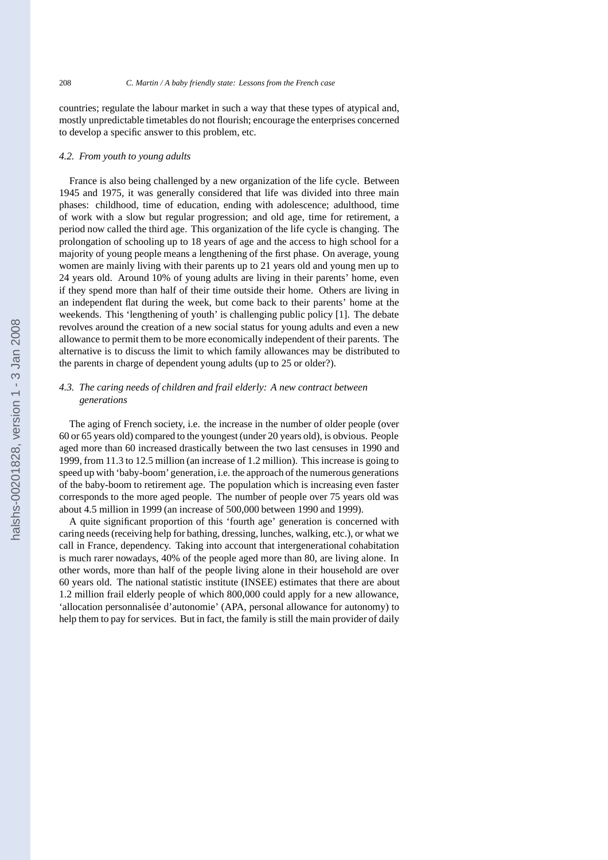countries; regulate the labour market in such a way that these types of atypical and, mostly unpredictable timetables do not flourish; encourage the enterprises concerned to develop a specific answer to this problem, etc.

#### *4.2. From youth to young adults*

France is also being challenged by a new organization of the life cycle. Between 1945 and 1975, it was generally considered that life was divided into three main phases: childhood, time of education, ending with adolescence; adulthood, time of work with a slow but regular progression; and old age, time for retirement, a period now called the third age. This organization of the life cycle is changing. The prolongation of schooling up to 18 years of age and the access to high school for a majority of young people means a lengthening of the first phase. On average, young women are mainly living with their parents up to 21 years old and young men up to 24 years old. Around 10% of young adults are living in their parents' home, even if they spend more than half of their time outside their home. Others are living in an independent flat during the week, but come back to their parents' home at the weekends. This 'lengthening of youth' is challenging public policy [1]. The debate revolves around the creation of a new social status for young adults and even a new allowance to permit them to be more economically independent of their parents. The alternative is to discuss the limit to which family allowances may be distributed to the parents in charge of dependent young adults (up to 25 or older?).

# *4.3. The caring needs of children and frail elderly: A new contract between generations*

The aging of French society, i.e. the increase in the number of older people (over 60 or 65 years old) compared to the youngest (under 20 years old), is obvious. People aged more than 60 increased drastically between the two last censuses in 1990 and 1999, from 11.3 to 12.5 million (an increase of 1.2 million). This increase is going to speed up with 'baby-boom' generation, i.e. the approach of the numerous generations of the baby-boom to retirement age. The population which is increasing even faster corresponds to the more aged people. The number of people over 75 years old was about 4.5 million in 1999 (an increase of 500,000 between 1990 and 1999).

A quite significant proportion of this 'fourth age' generation is concerned with caring needs (receiving help for bathing, dressing, lunches, walking, etc.), or what we call in France, dependency. Taking into account that intergenerational cohabitation is much rarer nowadays, 40% of the people aged more than 80, are living alone. In other words, more than half of the people living alone in their household are over 60 years old. The national statistic institute (INSEE) estimates that there are about 1.2 million frail elderly people of which 800,000 could apply for a new allowance, 'allocation personnalisée d'autonomie' (APA, personal allowance for autonomy) to help them to pay for services. But in fact, the family is still the main provider of daily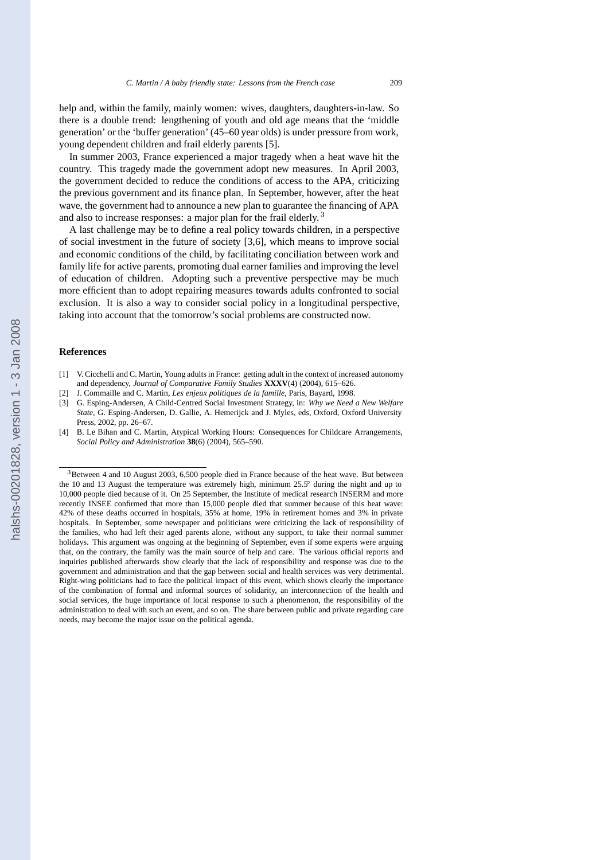help and, within the family, mainly women: wives, daughters, daughters-in-law. So there is a double trend: lengthening of youth and old age means that the 'middle generation' or the 'buffer generation' (45–60 year olds) is under pressure from work, young dependent children and frail elderly parents [5].

In summer 2003, France experienced a major tragedy when a heat wave hit the country. This tragedy made the government adopt new measures. In April 2003, the government decided to reduce the conditions of access to the APA, criticizing the previous government and its finance plan. In September, however, after the heat wave, the government had to announce a new plan to guarantee the financing of APA and also to increase responses: a major plan for the frail elderly. <sup>3</sup>

A last challenge may be to define a real policy towards children, in a perspective of social investment in the future of society [3,6], which means to improve social and economic conditions of the child, by facilitating conciliation between work and family life for active parents, promoting dual earner families and improving the level of education of children. Adopting such a preventive perspective may be much more efficient than to adopt repairing measures towards adults confronted to social exclusion. It is also a way to consider social policy in a longitudinal perspective, taking into account that the tomorrow's social problems are constructed now.

#### **References**

- [1] V. Cicchelli and C. Martin, Young adults in France: getting adult in the context of increased autonomy and dependency, *Journal of Comparative Family Studies* **XXXV**(4) (2004), 615–626.
- [2] J. Commaille and C. Martin, *Les enjeux politiques de la famille*, Paris, Bayard, 1998.
- [3] G. Esping-Andersen, A Child-Centred Social Investment Strategy, in: *Why we Need a New Welfare State*, G. Esping-Andersen, D. Gallie, A. Hemerijck and J. Myles, eds, Oxford, Oxford University Press, 2002, pp. 26–67.
- [4] B. Le Bihan and C. Martin, Atypical Working Hours: Consequences for Childcare Arrangements, *Social Policy and Administration* **38**(6) (2004), 565–590.

<sup>&</sup>lt;sup>3</sup>Between 4 and 10 August 2003, 6,500 people died in France because of the heat wave. But between the 10 and 13 August the temperature was extremely high, minimum  $25.5°$  during the night and up to 10,000 people died because of it. On 25 September, the Institute of medical research INSERM and more recently INSEE confirmed that more than 15,000 people died that summer because of this heat wave: 42% of these deaths occurred in hospitals, 35% at home, 19% in retirement homes and 3% in private hospitals. In September, some newspaper and politicians were criticizing the lack of responsibility of the families, who had left their aged parents alone, without any support, to take their normal summer holidays. This argument was ongoing at the beginning of September, even if some experts were arguing that, on the contrary, the family was the main source of help and care. The various official reports and inquiries published afterwards show clearly that the lack of responsibility and response was due to the government and administration and that the gap between social and health services was very detrimental. Right-wing politicians had to face the political impact of this event, which shows clearly the importance of the combination of formal and informal sources of solidarity, an interconnection of the health and social services, the huge importance of local response to such a phenomenon, the responsibility of the administration to deal with such an event, and so on. The share between public and private regarding care needs, may become the major issue on the political agenda.